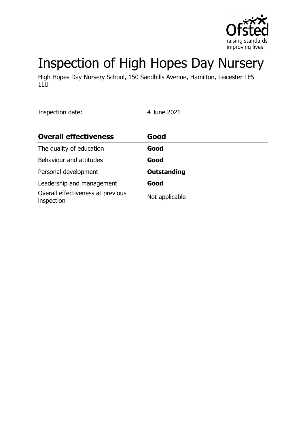

# Inspection of High Hopes Day Nursery

High Hopes Day Nursery School, 150 Sandhills Avenue, Hamilton, Leicester LE5 1LU

Inspection date: 4 June 2021

| <b>Overall effectiveness</b>                    | Good               |
|-------------------------------------------------|--------------------|
| The quality of education                        | Good               |
| Behaviour and attitudes                         | Good               |
| Personal development                            | <b>Outstanding</b> |
| Leadership and management                       | Good               |
| Overall effectiveness at previous<br>inspection | Not applicable     |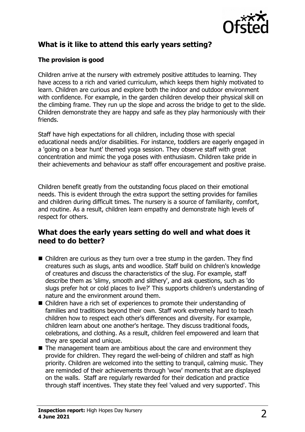

# **What is it like to attend this early years setting?**

#### **The provision is good**

Children arrive at the nursery with extremely positive attitudes to learning. They have access to a rich and varied curriculum, which keeps them highly motivated to learn. Children are curious and explore both the indoor and outdoor environment with confidence. For example, in the garden children develop their physical skill on the climbing frame. They run up the slope and across the bridge to get to the slide. Children demonstrate they are happy and safe as they play harmoniously with their friends.

Staff have high expectations for all children, including those with special educational needs and/or disabilities. For instance, toddlers are eagerly engaged in a 'going on a bear hunt' themed yoga session. They observe staff with great concentration and mimic the yoga poses with enthusiasm. Children take pride in their achievements and behaviour as staff offer encouragement and positive praise.

Children benefit greatly from the outstanding focus placed on their emotional needs. This is evident through the extra support the setting provides for families and children during difficult times. The nursery is a source of familiarity, comfort, and routine. As a result, children learn empathy and demonstrate high levels of respect for others.

## **What does the early years setting do well and what does it need to do better?**

- $\blacksquare$  Children are curious as they turn over a tree stump in the garden. They find creatures such as slugs, ants and woodlice. Staff build on children's knowledge of creatures and discuss the characteristics of the slug. For example, staff describe them as 'slimy, smooth and slithery', and ask questions, such as 'do slugs prefer hot or cold places to live?' This supports children's understanding of nature and the environment around them.
- $\blacksquare$  Children have a rich set of experiences to promote their understanding of families and traditions beyond their own. Staff work extremely hard to teach children how to respect each other's differences and diversity. For example, children learn about one another's heritage. They discuss traditional foods, celebrations, and clothing. As a result, children feel empowered and learn that they are special and unique.
- $\blacksquare$  The management team are ambitious about the care and environment they provide for children. They regard the well-being of children and staff as high priority. Children are welcomed into the setting to tranquil, calming music. They are reminded of their achievements through 'wow' moments that are displayed on the walls. Staff are regularly rewarded for their dedication and practice through staff incentives. They state they feel 'valued and very supported'. This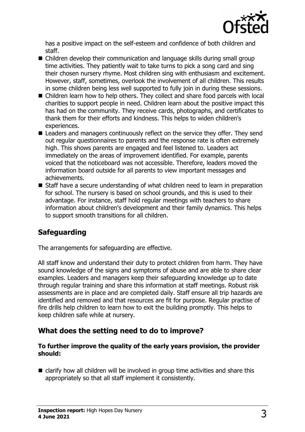

has a positive impact on the self-esteem and confidence of both children and staff.

- $\blacksquare$  Children develop their communication and language skills during small group time activities. They patiently wait to take turns to pick a song card and sing their chosen nursery rhyme. Most children sing with enthusiasm and excitement. However, staff, sometimes, overlook the involvement of all children. This results in some children being less well supported to fully join in during these sessions.
- Children learn how to help others. They collect and share food parcels with local charities to support people in need. Children learn about the positive impact this has had on the community. They receive cards, photographs, and certificates to thank them for their efforts and kindness. This helps to widen children's experiences.
- $\blacksquare$  Leaders and managers continuously reflect on the service they offer. They send out regular questionnaires to parents and the response rate is often extremely high. This shows parents are engaged and feel listened to. Leaders act immediately on the areas of improvement identified. For example, parents voiced that the noticeboard was not accessible. Therefore, leaders moved the information board outside for all parents to view important messages and achievements.
- $\blacksquare$  Staff have a secure understanding of what children need to learn in preparation for school. The nursery is based on school grounds, and this is used to their advantage. For instance, staff hold regular meetings with teachers to share information about children's development and their family dynamics. This helps to support smooth transitions for all children.

## **Safeguarding**

The arrangements for safeguarding are effective.

All staff know and understand their duty to protect children from harm. They have sound knowledge of the signs and symptoms of abuse and are able to share clear examples. Leaders and managers keep their safeguarding knowledge up to date through regular training and share this information at staff meetings. Robust risk assessments are in place and are completed daily. Staff ensure all trip hazards are identified and removed and that resources are fit for purpose. Regular practise of fire drills help children to learn how to exit the building promptly. This helps to keep children safe while at nursery.

## **What does the setting need to do to improve?**

#### **To further improve the quality of the early years provision, the provider should:**

 $\blacksquare$  clarify how all children will be involved in group time activities and share this appropriately so that all staff implement it consistently.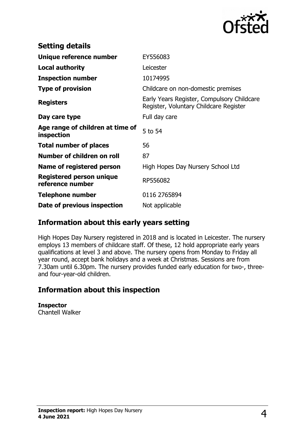

| <b>Setting details</b>                         |                                                                                      |
|------------------------------------------------|--------------------------------------------------------------------------------------|
| Unique reference number                        | EY556083                                                                             |
| <b>Local authority</b>                         | Leicester                                                                            |
| <b>Inspection number</b>                       | 10174995                                                                             |
| <b>Type of provision</b>                       | Childcare on non-domestic premises                                                   |
| <b>Registers</b>                               | Early Years Register, Compulsory Childcare<br>Register, Voluntary Childcare Register |
| Day care type                                  | Full day care                                                                        |
| Age range of children at time of<br>inspection | 5 to 54                                                                              |
| <b>Total number of places</b>                  | 56                                                                                   |
| Number of children on roll                     | 87                                                                                   |
| Name of registered person                      | High Hopes Day Nursery School Ltd                                                    |
| Registered person unique<br>reference number   | RP556082                                                                             |
| <b>Telephone number</b>                        | 0116 2765894                                                                         |
| Date of previous inspection                    | Not applicable                                                                       |

## **Information about this early years setting**

High Hopes Day Nursery registered in 2018 and is located in Leicester. The nursery employs 13 members of childcare staff. Of these, 12 hold appropriate early years qualifications at level 3 and above. The nursery opens from Monday to Friday all year round, accept bank holidays and a week at Christmas. Sessions are from 7.30am until 6.30pm. The nursery provides funded early education for two-, threeand four-year-old children.

## **Information about this inspection**

**Inspector** Chantell Walker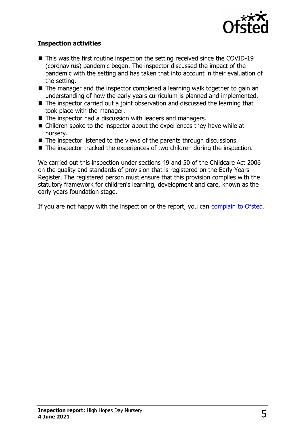

#### **Inspection activities**

- $\blacksquare$  This was the first routine inspection the setting received since the COVID-19 (coronavirus) pandemic began. The inspector discussed the impact of the pandemic with the setting and has taken that into account in their evaluation of the setting.
- $\blacksquare$  The manager and the inspector completed a learning walk together to gain an understanding of how the early years curriculum is planned and implemented.
- $\blacksquare$  The inspector carried out a joint observation and discussed the learning that took place with the manager.
- $\blacksquare$  The inspector had a discussion with leaders and managers.
- $\blacksquare$  Children spoke to the inspector about the experiences they have while at nursery.
- $\blacksquare$  The inspector listened to the views of the parents through discussions.
- $\blacksquare$  The inspector tracked the experiences of two children during the inspection.

We carried out this inspection under sections 49 and 50 of the Childcare Act 2006 on the quality and standards of provision that is registered on the Early Years Register. The registered person must ensure that this provision complies with the statutory framework for children's learning, development and care, known as the early years foundation stage.

If you are not happy with the inspection or the report, you can [complain to Ofsted.](http://www.gov.uk/complain-ofsted-report)